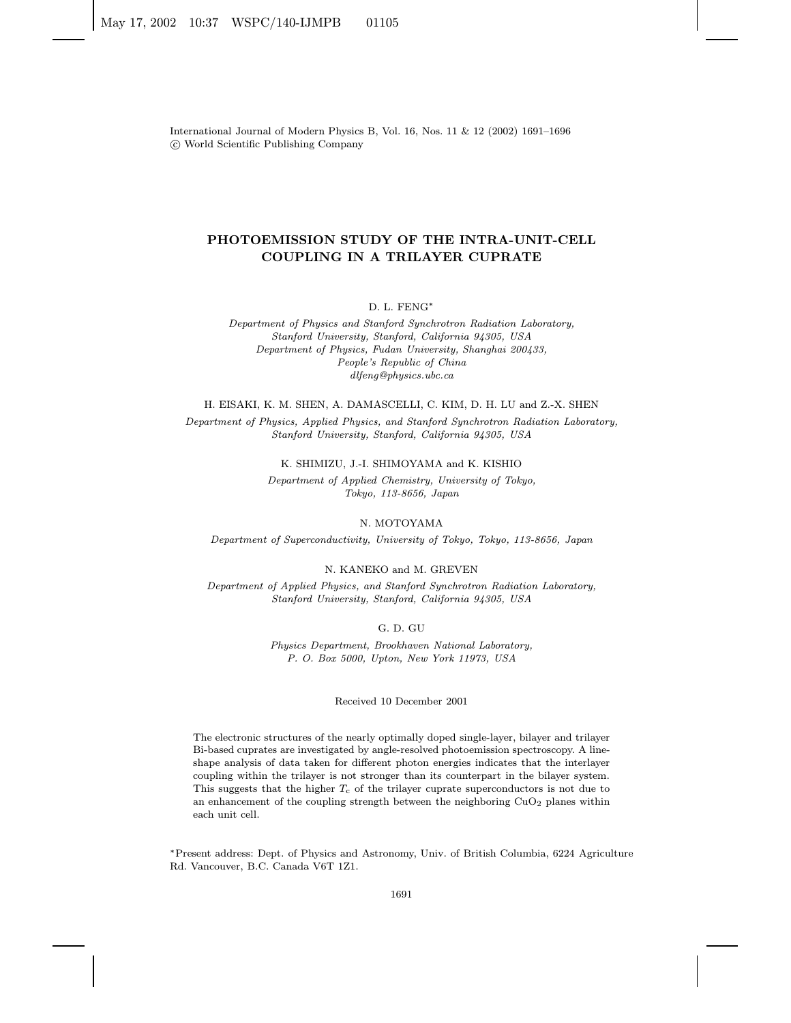International Journal of Modern Physics B, Vol. 16, Nos. 11 & 12 (2002) 1691–1696 c World Scientific Publishing Company

# PHOTOEMISSION STUDY OF THE INTRA-UNIT-CELL COUPLING IN A TRILAYER CUPRATE

#### D. L. FENG∗

Department of Physics and Stanford Synchrotron Radiation Laboratory, Stanford University, Stanford, California 94305, USA Department of Physics, Fudan University, Shanghai 200433, People's Republic of China dlfeng@physics.ubc.ca

#### H. EISAKI, K. M. SHEN, A. DAMASCELLI, C. KIM, D. H. LU and Z.-X. SHEN

Department of Physics, Applied Physics, and Stanford Synchrotron Radiation Laboratory, Stanford University, Stanford, California 94305, USA

#### K. SHIMIZU, J.-I. SHIMOYAMA and K. KISHIO

Department of Applied Chemistry, University of Tokyo, Tokyo, 113-8656, Japan

#### N. MOTOYAMA

Department of Superconductivity, University of Tokyo, Tokyo, 113-8656, Japan

#### N. KANEKO and M. GREVEN

Department of Applied Physics, and Stanford Synchrotron Radiation Laboratory, Stanford University, Stanford, California 94305, USA

# G. D. GU

Physics Department, Brookhaven National Laboratory, P. O. Box 5000, Upton, New York 11973, USA

#### Received 10 December 2001

The electronic structures of the nearly optimally doped single-layer, bilayer and trilayer Bi-based cuprates are investigated by angle-resolved photoemission spectroscopy. A lineshape analysis of data taken for different photon energies indicates that the interlayer coupling within the trilayer is not stronger than its counterpart in the bilayer system. This suggests that the higher  $T_c$  of the trilayer cuprate superconductors is not due to an enhancement of the coupling strength between the neighboring  $CuO<sub>2</sub>$  planes within each unit cell.

∗Present address: Dept. of Physics and Astronomy, Univ. of British Columbia, 6224 Agriculture Rd. Vancouver, B.C. Canada V6T 1Z1.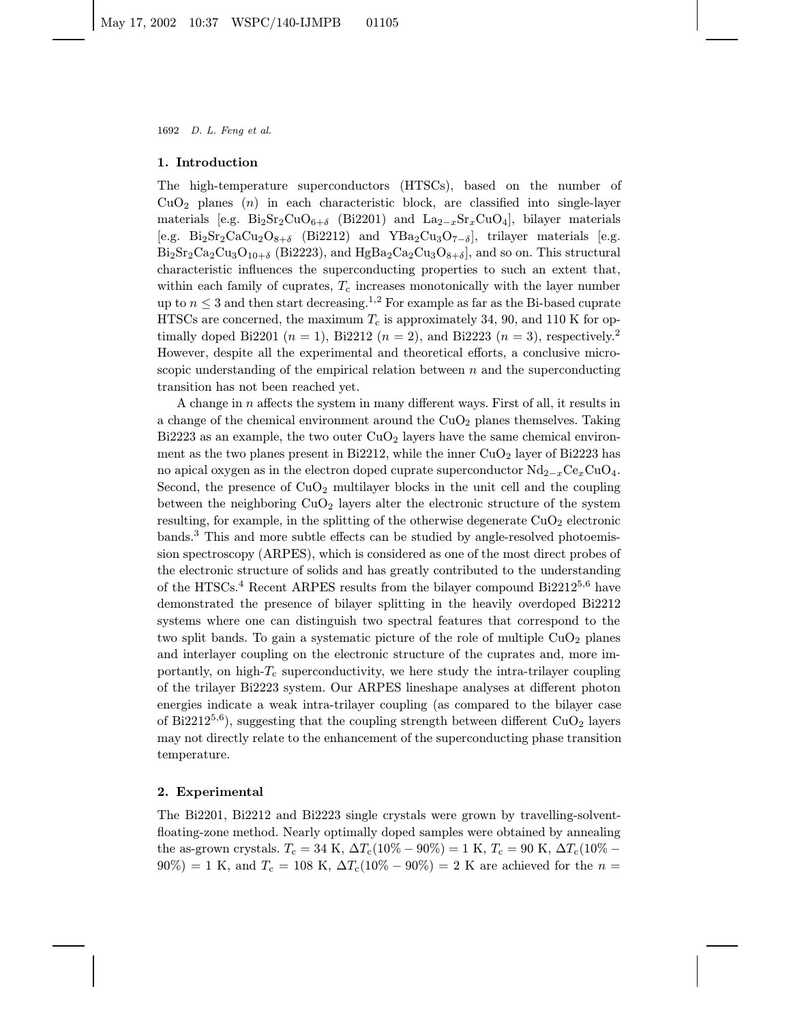# 1. Introduction

The high-temperature superconductors (HTSCs), based on the number of  $CuO<sub>2</sub>$  planes (n) in each characteristic block, are classified into single-layer materials [e.g.  $\text{Bi}_2\text{Sr}_2\text{CuO}_{6+\delta}$  (Bi2201) and  $\text{La}_{2-x}\text{Sr}_x\text{CuO}_4$ ], bilayer materials [e.g. Bi<sub>2</sub>Sr<sub>2</sub>CaCu<sub>2</sub>O<sub>8+δ</sub> (Bi2212) and YBa<sub>2</sub>Cu<sub>3</sub>O<sub>7−δ</sub>], trilayer materials [e.g.  $Bi_2Sr_2Ca_2Cu_3O_{10+\delta}$  (Bi2223), and  $HgBa_2Ca_2Cu_3O_{8+\delta}$ , and so on. This structural characteristic influences the superconducting properties to such an extent that, within each family of cuprates,  $T_c$  increases monotonically with the layer number up to  $n \leq 3$  and then start decreasing.<sup>1,2</sup> For example as far as the Bi-based cuprate HTSCs are concerned, the maximum  $T_c$  is approximately 34, 90, and 110 K for optimally doped Bi2201 ( $n = 1$ ), Bi2212 ( $n = 2$ ), and Bi2223 ( $n = 3$ ), respectively.<sup>2</sup> However, despite all the experimental and theoretical efforts, a conclusive microscopic understanding of the empirical relation between  $n$  and the superconducting transition has not been reached yet.

A change in n affects the system in many different ways. First of all, it results in a change of the chemical environment around the  $CuO<sub>2</sub>$  planes themselves. Taking Bi2223 as an example, the two outer  $CuO<sub>2</sub>$  layers have the same chemical environment as the two planes present in Bi2212, while the inner  $CuO<sub>2</sub>$  layer of Bi2223 has no apical oxygen as in the electron doped cuprate superconductor  $Nd_{2-x}Ce_xCuO_4$ . Second, the presence of  $CuO<sub>2</sub>$  multilayer blocks in the unit cell and the coupling between the neighboring  $CuO<sub>2</sub>$  layers alter the electronic structure of the system resulting, for example, in the splitting of the otherwise degenerate  $CuO<sub>2</sub>$  electronic bands.<sup>3</sup> This and more subtle effects can be studied by angle-resolved photoemission spectroscopy (ARPES), which is considered as one of the most direct probes of the electronic structure of solids and has greatly contributed to the understanding of the HTSCs.<sup>4</sup> Recent ARPES results from the bilayer compound Bi2212<sup>5,6</sup> have demonstrated the presence of bilayer splitting in the heavily overdoped Bi2212 systems where one can distinguish two spectral features that correspond to the two split bands. To gain a systematic picture of the role of multiple  $CuO<sub>2</sub>$  planes and interlayer coupling on the electronic structure of the cuprates and, more importantly, on high- $T_c$  superconductivity, we here study the intra-trilayer coupling of the trilayer Bi2223 system. Our ARPES lineshape analyses at different photon energies indicate a weak intra-trilayer coupling (as compared to the bilayer case of Bi2212<sup>5,6</sup>), suggesting that the coupling strength between different  $CuO<sub>2</sub>$  layers may not directly relate to the enhancement of the superconducting phase transition temperature.

## 2. Experimental

The Bi2201, Bi2212 and Bi2223 single crystals were grown by travelling-solventfloating-zone method. Nearly optimally doped samples were obtained by annealing the as-grown crystals.  $T_c = 34 \text{ K}$ ,  $\Delta T_c(10\% - 90\%) = 1 \text{ K}$ ,  $T_c = 90 \text{ K}$ ,  $\Delta T_c(10\% - 90\%) = 1 \text{ K}$  $90\%) = 1$  K, and  $T_c = 108$  K,  $\Delta T_c(10\% - 90\%) = 2$  K are achieved for the  $n =$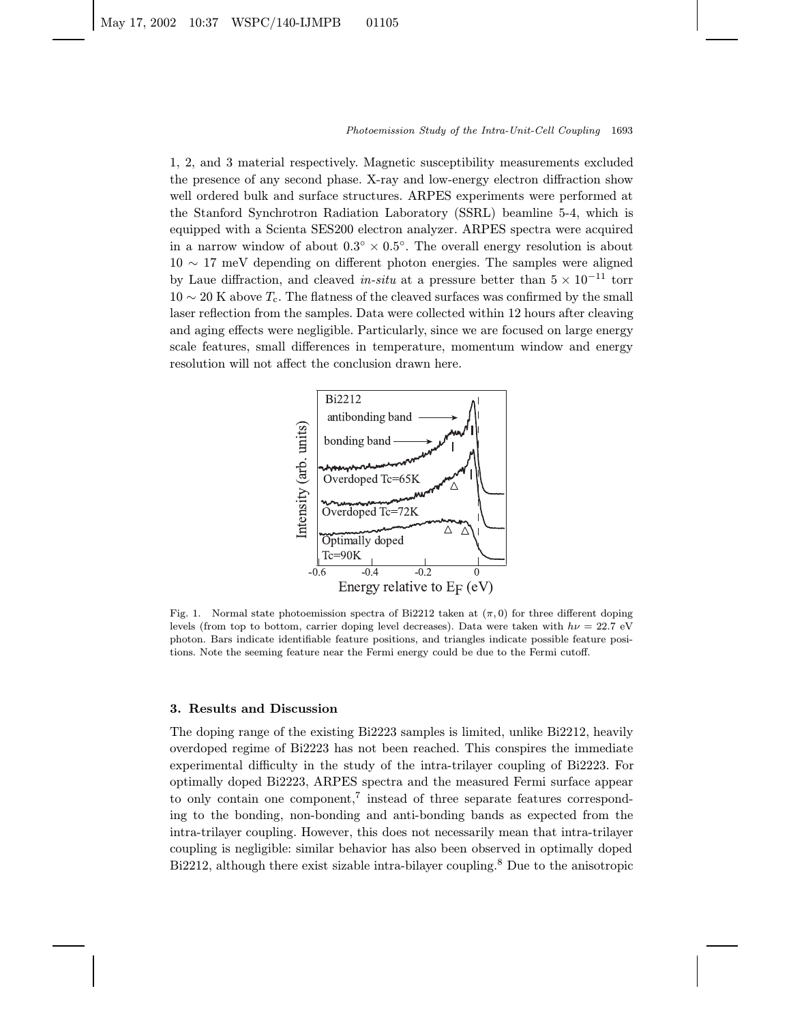1, 2, and 3 material respectively. Magnetic susceptibility measurements excluded the presence of any second phase. X-ray and low-energy electron diffraction show well ordered bulk and surface structures. ARPES experiments were performed at the Stanford Synchrotron Radiation Laboratory (SSRL) beamline 5-4, which is equipped with a Scienta SES200 electron analyzer. ARPES spectra were acquired in a narrow window of about  $0.3° \times 0.5°$ . The overall energy resolution is about 10 ∼ 17 meV depending on different photon energies. The samples were aligned by Laue diffraction, and cleaved in-situ at a pressure better than  $5 \times 10^{-11}$  torr  $10 \sim 20$  K above  $T_c$ . The flatness of the cleaved surfaces was confirmed by the small laser reflection from the samples. Data were collected within 12 hours after cleaving and aging effects were negligible. Particularly, since we are focused on large energy scale features, small differences in temperature, momentum window and energy resolution will not affect the conclusion drawn here.



Fig. 1. Normal state photoemission spectra of Bi2212 taken at  $(\pi, 0)$  for three different doping levels (from top to bottom, carrier doping level decreases). Data were taken with  $h\nu = 22.7$  eV photon. Bars indicate identifiable feature positions, and triangles indicate possible feature positions. Note the seeming feature near the Fermi energy could be due to the Fermi cutoff.

# 3. Results and Discussion

The doping range of the existing Bi2223 samples is limited, unlike Bi2212, heavily overdoped regime of Bi2223 has not been reached. This conspires the immediate experimental difficulty in the study of the intra-trilayer coupling of Bi2223. For optimally doped Bi2223, ARPES spectra and the measured Fermi surface appear to only contain one component,<sup>7</sup> instead of three separate features corresponding to the bonding, non-bonding and anti-bonding bands as expected from the intra-trilayer coupling. However, this does not necessarily mean that intra-trilayer coupling is negligible: similar behavior has also been observed in optimally doped Bi2212, although there exist sizable intra-bilayer coupling.<sup>8</sup> Due to the anisotropic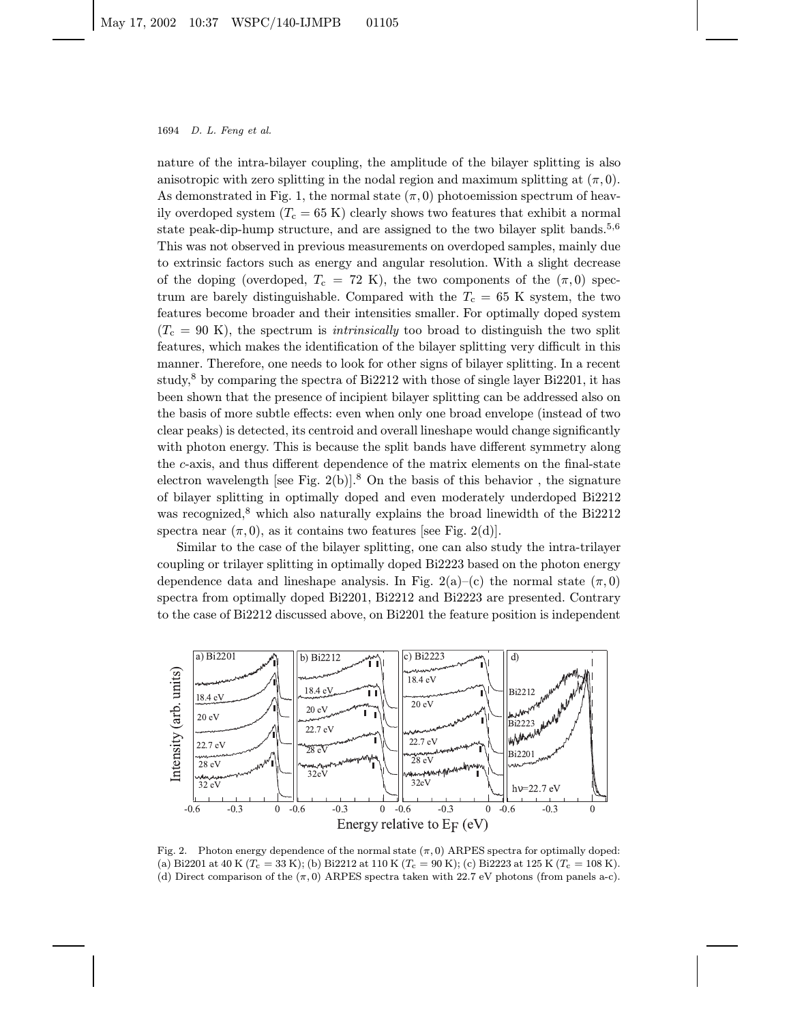nature of the intra-bilayer coupling, the amplitude of the bilayer splitting is also anisotropic with zero splitting in the nodal region and maximum splitting at  $(\pi, 0)$ . As demonstrated in Fig. 1, the normal state  $(\pi, 0)$  photoemission spectrum of heavily overdoped system  $(T_c = 65 \text{ K})$  clearly shows two features that exhibit a normal state peak-dip-hump structure, and are assigned to the two bilayer split bands.<sup>5,6</sup> This was not observed in previous measurements on overdoped samples, mainly due to extrinsic factors such as energy and angular resolution. With a slight decrease of the doping (overdoped,  $T_c = 72$  K), the two components of the  $(\pi, 0)$  spectrum are barely distinguishable. Compared with the  $T_c = 65$  K system, the two features become broader and their intensities smaller. For optimally doped system  $(T<sub>c</sub> = 90 K)$ , the spectrum is *intrinsically* too broad to distinguish the two split features, which makes the identification of the bilayer splitting very difficult in this manner. Therefore, one needs to look for other signs of bilayer splitting. In a recent study,<sup>8</sup> by comparing the spectra of Bi2212 with those of single layer Bi2201, it has been shown that the presence of incipient bilayer splitting can be addressed also on the basis of more subtle effects: even when only one broad envelope (instead of two clear peaks) is detected, its centroid and overall lineshape would change significantly with photon energy. This is because the split bands have different symmetry along the c-axis, and thus different dependence of the matrix elements on the final-state electron wavelength [see Fig. 2(b)].<sup>8</sup> On the basis of this behavior, the signature of bilayer splitting in optimally doped and even moderately underdoped Bi2212 was recognized,<sup>8</sup> which also naturally explains the broad linewidth of the Bi2212 spectra near  $(\pi, 0)$ , as it contains two features [see Fig. 2(d)].

Similar to the case of the bilayer splitting, one can also study the intra-trilayer coupling or trilayer splitting in optimally doped Bi2223 based on the photon energy dependence data and lineshape analysis. In Fig. 2(a)–(c) the normal state  $(\pi, 0)$ spectra from optimally doped Bi2201, Bi2212 and Bi2223 are presented. Contrary to the case of Bi2212 discussed above, on Bi2201 the feature position is independent



Fig. 2. Photon energy dependence of the normal state  $(\pi, 0)$  ARPES spectra for optimally doped: (a) Bi2201 at 40 K ( $T_c = 33$  K); (b) Bi2212 at 110 K ( $T_c = 90$  K); (c) Bi2223 at 125 K ( $T_c = 108$  K). (d) Direct comparison of the  $(\pi, 0)$  ARPES spectra taken with 22.7 eV photons (from panels a-c).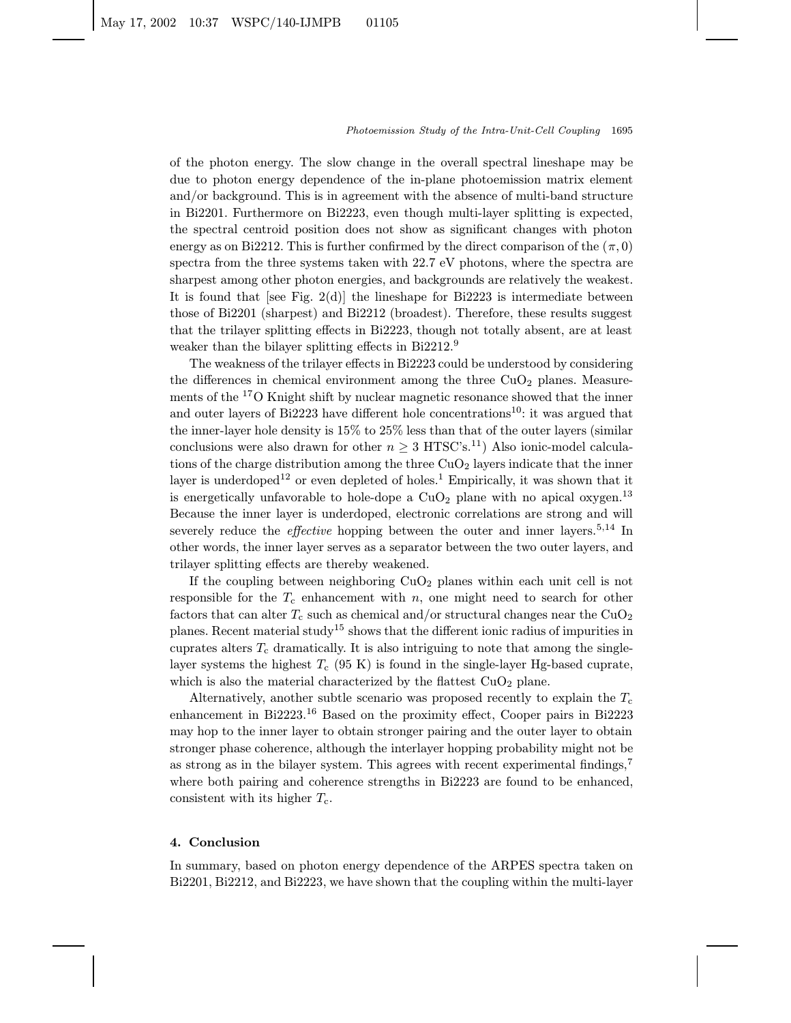of the photon energy. The slow change in the overall spectral lineshape may be due to photon energy dependence of the in-plane photoemission matrix element and/or background. This is in agreement with the absence of multi-band structure in Bi2201. Furthermore on Bi2223, even though multi-layer splitting is expected, the spectral centroid position does not show as significant changes with photon energy as on Bi2212. This is further confirmed by the direct comparison of the  $(\pi, 0)$ spectra from the three systems taken with 22.7 eV photons, where the spectra are sharpest among other photon energies, and backgrounds are relatively the weakest. It is found that [see Fig. 2(d)] the lineshape for Bi2223 is intermediate between those of Bi2201 (sharpest) and Bi2212 (broadest). Therefore, these results suggest that the trilayer splitting effects in Bi2223, though not totally absent, are at least weaker than the bilayer splitting effects in Bi2212.<sup>9</sup>

The weakness of the trilayer effects in Bi2223 could be understood by considering the differences in chemical environment among the three  $CuO<sub>2</sub>$  planes. Measurements of the <sup>17</sup>O Knight shift by nuclear magnetic resonance showed that the inner and outer layers of Bi2223 have different hole concentrations<sup>10</sup>: it was argued that the inner-layer hole density is 15% to 25% less than that of the outer layers (similar conclusions were also drawn for other  $n \geq 3$  HTSC's.<sup>11</sup>) Also ionic-model calculations of the charge distribution among the three  $CuO<sub>2</sub>$  layers indicate that the inner layer is underdoped<sup>12</sup> or even depleted of holes.<sup>1</sup> Empirically, it was shown that it is energetically unfavorable to hole-dope a  $CuO<sub>2</sub>$  plane with no apical oxygen.<sup>13</sup> Because the inner layer is underdoped, electronic correlations are strong and will severely reduce the *effective* hopping between the outer and inner layers.<sup>5,14</sup> In other words, the inner layer serves as a separator between the two outer layers, and trilayer splitting effects are thereby weakened.

If the coupling between neighboring  $CuO<sub>2</sub>$  planes within each unit cell is not responsible for the  $T_c$  enhancement with n, one might need to search for other factors that can alter  $T_c$  such as chemical and/or structural changes near the CuO<sub>2</sub> planes. Recent material study<sup>15</sup> shows that the different ionic radius of impurities in cuprates alters  $T_c$  dramatically. It is also intriguing to note that among the singlelayer systems the highest  $T_c$  (95 K) is found in the single-layer Hg-based cuprate, which is also the material characterized by the flattest  $CuO<sub>2</sub>$  plane.

Alternatively, another subtle scenario was proposed recently to explain the  $T_c$ enhancement in Bi2223.<sup>16</sup> Based on the proximity effect, Cooper pairs in Bi2223 may hop to the inner layer to obtain stronger pairing and the outer layer to obtain stronger phase coherence, although the interlayer hopping probability might not be as strong as in the bilayer system. This agrees with recent experimental findings,<sup>7</sup> where both pairing and coherence strengths in Bi2223 are found to be enhanced, consistent with its higher  $T_c$ .

### 4. Conclusion

In summary, based on photon energy dependence of the ARPES spectra taken on Bi2201, Bi2212, and Bi2223, we have shown that the coupling within the multi-layer